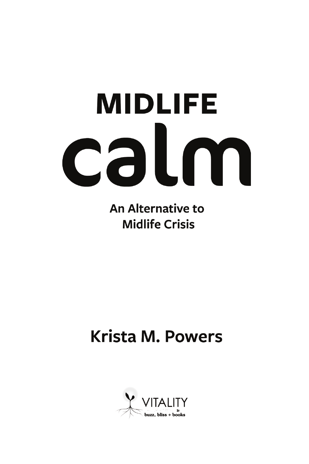# **MIDLIFE** calm

**An Alternative to Midlife Crisis** 

## **Krista M. Powers**

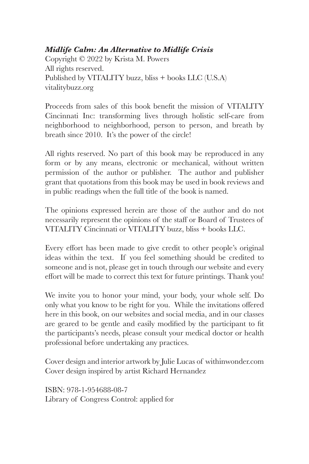#### *Midlife Calm: An Alternative to Midlife Crisis*

Copyright © 2022 by Krista M. Powers All rights reserved. Published by VITALITY buzz, bliss + books LLC (U.S.A) vitalitybuzz.org

Proceeds from sales of this book benefit the mission of VITALITY Cincinnati Inc: transforming lives through holistic self-care from neighborhood to neighborhood, person to person, and breath by breath since 2010. It's the power of the circle!

All rights reserved. No part of this book may be reproduced in any form or by any means, electronic or mechanical, without written permission of the author or publisher. The author and publisher grant that quotations from this book may be used in book reviews and in public readings when the full title of the book is named.

The opinions expressed herein are those of the author and do not necessarily represent the opinions of the staff or Board of Trustees of VITALITY Cincinnati or VITALITY buzz, bliss + books LLC.

Every effort has been made to give credit to other people's original ideas within the text. If you feel something should be credited to someone and is not, please get in touch through our website and every effort will be made to correct this text for future printings. Thank you!

We invite you to honor your mind, your body, your whole self. Do only what you know to be right for you. While the invitations offered here in this book, on our websites and social media, and in our classes are geared to be gentle and easily modified by the participant to fit the participants's needs, please consult your medical doctor or health professional before undertaking any practices.

Cover design and interior artwork by Julie Lucas of withinwonder.com Cover design inspired by artist Richard Hernandez

ISBN: 978-1-954688-08-7 Library of Congress Control: applied for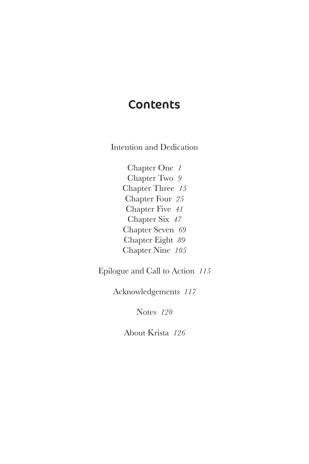#### **Contents**

Intention and Dedication

Chapter One *1* Chapter Two *9* Chapter Three *15* Chapter Four *25* Chapter Five *41* Chapter Six *47* Chapter Seven *69* Chapter Eight *89* Chapter Nine *105*

Epilogue and Call to Action *115*

Acknowledgements *117*

Notes *120*

About Krista *126*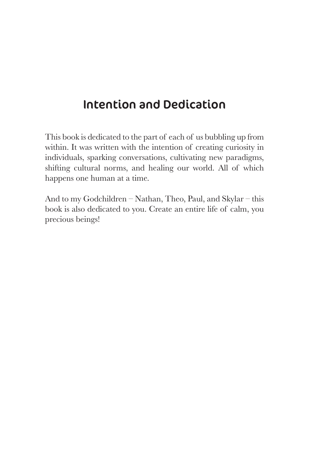### Intention and Dedication

This book is dedicated to the part of each of us bubbling up from within. It was written with the intention of creating curiosity in individuals, sparking conversations, cultivating new paradigms, shifting cultural norms, and healing our world. All of which happens one human at a time.

And to my Godchildren – Nathan, Theo, Paul, and Skylar – this book is also dedicated to you. Create an entire life of calm, you precious beings!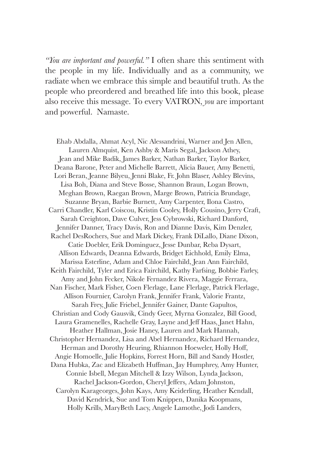*"You are important and powerful."* I often share this sentiment with the people in my life. Individually and as a community, we radiate when we embrace this simple and beautiful truth. As the people who preordered and breathed life into this book, please also receive this message. To every VATRON, *you* are important and powerful. Namaste.

Ehab Abdalla, Ahmat Acyl, Nic Alessandrini, Warner and Jen Allen, Lauren Almquist, Ken Ashby & Maris Segal, Jackson Athey, Jean and Mike Badik, James Barker, Nathan Barker, Taylor Barker, Deana Barone, Peter and Michelle Barrett, Alicia Bauer, Amy Benetti, Lori Beran, Jeanne Bilyeu, Jenni Blake, Fr. John Blaser, Ashley Blevins, Lisa Boh, Diana and Steve Bosse, Shannon Braun, Logan Brown, Meghan Brown, Raegan Brown, Marge Brown, Patricia Brundage, Suzanne Bryan, Barbie Burnett, Amy Carpenter, Ilona Castro, Carri Chandler, Karl Coiscou, Kristin Cooley, Holly Cousino, Jerry Craft, Sarah Creighton, Dave Culver, Jess Cybrowski, Richard Danford, Jennifer Danner, Tracy Davis, Ron and Dianne Davis, Kim Denzler, Rachel DesRochers, Sue and Mark Dickey, Frank DiLallo, Diane Dixon, Catie Doebler, Erik Dominguez, Jesse Dunbar, Reba Dysart, Allison Edwards, Deanna Edwards, Bridget Eichhold, Emily Elma, Marissa Esterline, Adam and Chloe Fairchild, Jean Ann Fairchild, Keith Fairchild, Tyler and Erica Fairchild, Kathy Farfsing, Bobbie Farley, Amy and John Fecker, Nikole Fernandez Rivera, Maggie Ferrara, Nan Fischer, Mark Fisher, Coen Flerlage, Lane Flerlage, Patrick Flerlage, Allison Fournier, Carolyn Frank, Jennifer Frank, Valorie Frantz, Sarah Frey, Julie Friebel, Jennifer Gainer, Dante Gapultos, Christian and Cody Gausvik, Cindy Geer, Myrna Gonzalez, Bill Good, Laura Gramenelles, Rachelle Gray, Layne and Jeff Haas, Janet Hahn, Heather Hallman, Josie Haney, Lauren and Mark Hannah, Christopher Hernandez, Lisa and Abel Hernandez, Richard Hernandez, Herman and Dorothy Heuring, Rhiannon Hoeweler, Holly Hoff, Angie Homoelle, Julie Hopkins, Forrest Horn, Bill and Sandy Hostler, Dana Hubka, Zac and Elizabeth Huffman, Jay Humphrey, Amy Hunter, Connie Isbell, Megan Mitchell & Izzy Wilson, Lynda Jackson, Rachel Jackson-Gordon, Cheryl Jeffers, Adam Johnston, Carolyn Karageorges, John Kays, Amy Keiderling, Heather Kendall, David Kendrick, Sue and Tom Knippen, Danika Koopmans, Holly Krills, MaryBeth Lacy, Angele Lamothe, Jodi Landers,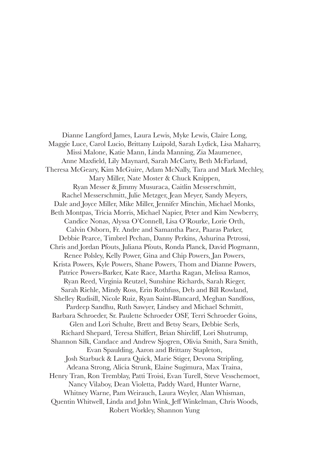Dianne Langford James, Laura Lewis, Myke Lewis, Claire Long, Maggie Luce, Carol Lucio, Brittany Luipold, Sarah Lydick, Lisa Maharry, Missi Malone, Katie Mann, Linda Manning, Zia Maumenee, Anne Maxfield, Lily Maynard, Sarah McCarty, Beth McFarland, Theresa McGeary, Kim McGuire, Adam McNally, Tara and Mark Mechley, Mary Miller, Nate Moster & Chuck Knippen, Ryan Messer & Jimmy Musuraca, Caitlin Messerschmitt, Rachel Messerschmitt, Julie Metzger, Jean Meyer, Sandy Meyers, Dale and Joyce Miller, Mike Miller, Jennifer Minchin, Michael Monks, Beth Montpas, Tricia Morris, Michael Napier, Peter and Kim Newberry, Candice Nonas, Alyssa O'Connell, Lisa O'Rourke, Lorie Orth, Calvin Osborn, Fr. Andre and Samantha Paez, Paaras Parker, Debbie Pearce, Timbrel Pechan, Danny Perkins, Ashurina Petrossi, Chris and Jordan Pfouts, Juliana Pfouts, Ronda Planck, David Plogmann, Renee Polsley, Kelly Power, Gina and Chip Powers, Jan Powers, Krista Powers, Kyle Powers, Shane Powers, Thom and Dianne Powers, Patrice Powers-Barker, Kate Race, Martha Ragan, Melissa Ramos, Ryan Reed, Virginia Reutzel, Sunshine Richards, Sarah Rieger, Sarah Riehle, Mindy Ross, Erin Rothfuss, Deb and Bill Rowland, Shelley Rudisill, Nicole Ruiz, Ryan Saint-Blancard, Meghan Sandfoss, Pardeep Sandhu, Ruth Sawyer, Lindsey and Michael Schmitt, Barbara Schroeder, Sr. Paulette Schroeder OSF, Terri Schroeder Goins, Glen and Lori Schulte, Brett and Betsy Sears, Debbie Serls, Richard Shepard, Teresa Shiffert, Brian Shircliff, Lori Shutrump, Shannon Silk, Candace and Andrew Sjogren, Olivia Smith, Sara Smith, Evan Spaulding, Aaron and Brittany Stapleton, Josh Starbuck & Laura Quick, Marie Stiger, Devona Stripling, Adeana Strong, Alicia Strunk, Elaine Sugimura, Max Traina, Henry Tran, Ron Tremblay, Patti Troisi, Evan Turell, Steve Vesschemoet, Nancy Vilaboy, Dean Violetta, Paddy Ward, Hunter Warne, Whitney Warne, Pam Weirauch, Laura Weyler, Alan Whisman, Quentin Whitwell, Linda and John Wink, Jeff Winkelman, Chris Woods, Robert Workley, Shannon Yung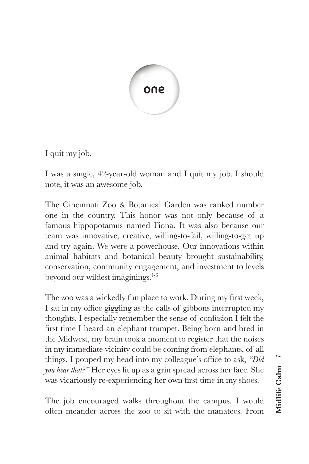

I quit my job.

I was a single, 42-year-old woman and I quit my job. I should note, it was an awesome job.

The Cincinnati Zoo & Botanical Garden was ranked number one in the country. This honor was not only because of a famous hippopotamus named Fiona. It was also because our team was innovative, creative, willing-to-fail, willing-to-get up and try again. We were a powerhouse. Our innovations within animal habitats and botanical beauty brought sustainability, conservation, community engagement, and investment to levels beyond our wildest imaginings.<sup>1-6</sup>

The zoo was a wickedly fun place to work. During my first week, I sat in my office giggling as the calls of gibbons interrupted my thoughts. I especially remember the sense of confusion I felt the first time I heard an elephant trumpet. Being born and bred in the Midwest, my brain took a moment to register that the noises in my immediate vicinity could be coming from elephants, of all things. I popped my head into my colleague's office to ask, *"Did you hear that?"* Her eyes lit up as a grin spread across her face. She was vicariously re-experiencing her own first time in my shoes.

The job encouraged walks throughout the campus. I would often meander across the zoo to sit with the manatees. From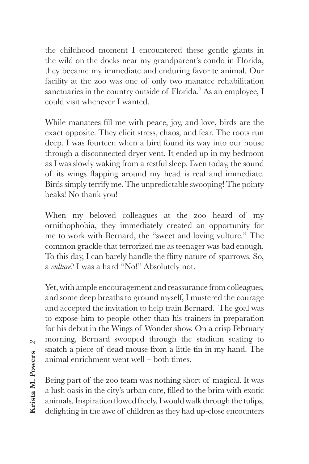the childhood moment I encountered these gentle giants in the wild on the docks near my grandparent's condo in Florida, they became my immediate and enduring favorite animal. Our facility at the zoo was one of only two manatee rehabilitation sanctuaries in the country outside of Florida.<sup>7</sup> As an employee, I could visit whenever I wanted.

While manatees fill me with peace, joy, and love, birds are the exact opposite. They elicit stress, chaos, and fear. The roots run deep. I was fourteen when a bird found its way into our house through a disconnected dryer vent. It ended up in my bedroom as I was slowly waking from a restful sleep. Even today, the sound of its wings flapping around my head is real and immediate. Birds simply terrify me. The unpredictable swooping! The pointy beaks! No thank you!

When my beloved colleagues at the zoo heard of my ornithophobia, they immediately created an opportunity for me to work with Bernard, the "sweet and loving vulture." The common grackle that terrorized me as teenager was bad enough. To this day, I can barely handle the flitty nature of sparrows. So, a *vulture*? I was a hard "No!" Absolutely not.

Yet, with ample encouragement and reassurance from colleagues, and some deep breaths to ground myself, I mustered the courage and accepted the invitation to help train Bernard. The goal was to expose him to people other than his trainers in preparation for his debut in the Wings of Wonder show. On a crisp February morning, Bernard swooped through the stadium seating to snatch a piece of dead mouse from a little tin in my hand. The animal enrichment went well – both times.

Being part of the zoo team was nothing short of magical. It was a lush oasis in the city's urban core, filled to the brim with exotic animals. Inspiration flowed freely. I would walk through the tulips, delighting in the awe of children as they had up-close encounters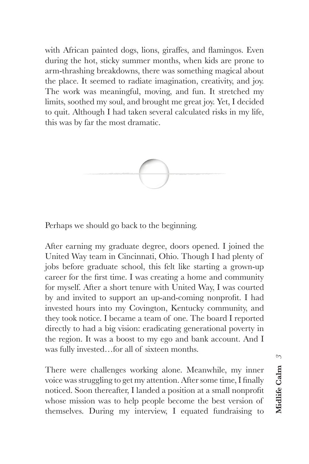with African painted dogs, lions, giraffes, and flamingos. Even during the hot, sticky summer months, when kids are prone to arm-thrashing breakdowns, there was something magical about the place. It seemed to radiate imagination, creativity, and joy. The work was meaningful, moving, and fun. It stretched my limits, soothed my soul, and brought me great joy. Yet, I decided to quit. Although I had taken several calculated risks in my life, this was by far the most dramatic.



Perhaps we should go back to the beginning.

After earning my graduate degree, doors opened. I joined the United Way team in Cincinnati, Ohio. Though I had plenty of jobs before graduate school, this felt like starting a grown-up career for the first time. I was creating a home and community for myself. After a short tenure with United Way, I was courted by and invited to support an up-and-coming nonprofit. I had invested hours into my Covington, Kentucky community, and they took notice. I became a team of one. The board I reported directly to had a big vision: eradicating generational poverty in the region. It was a boost to my ego and bank account. And I was fully invested…for all of sixteen months.

There were challenges working alone. Meanwhile, my inner voice was struggling to get my attention. After some time, I finally noticed. Soon thereafter, I landed a position at a small nonprofit whose mission was to help people become the best version of themselves. During my interview, I equated fundraising to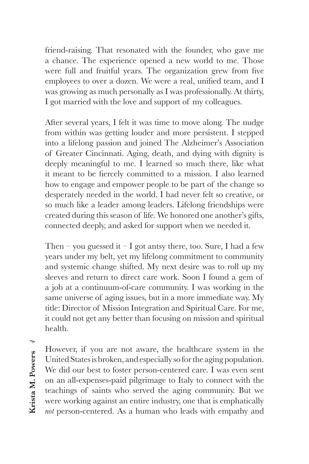friend-raising. That resonated with the founder, who gave me a chance. The experience opened a new world to me. Those were full and fruitful years. The organization grew from five employees to over a dozen. We were a real, unified team, and I was growing as much personally as I was professionally. At thirty, I got married with the love and support of my colleagues.

After several years, I felt it was time to move along. The nudge from within was getting louder and more persistent. I stepped into a lifelong passion and joined The Alzheimer's Association of Greater Cincinnati. Aging, death, and dying with dignity is deeply meaningful to me. I learned so much there, like what it meant to be fiercely committed to a mission. I also learned how to engage and empower people to be part of the change so desperately needed in the world. I had never felt so creative, or so much like a leader among leaders. Lifelong friendships were created during this season of life. We honored one another's gifts, connected deeply, and asked for support when we needed it.

Then – you guessed it – I got antsy there, too. Sure, I had a few years under my belt, yet my lifelong commitment to community and systemic change shifted. My next desire was to roll up my sleeves and return to direct care work. Soon I found a gem of a job at a continuum-of-care community. I was working in the same universe of aging issues, but in a more immediate way. My title: Director of Mission Integration and Spiritual Care. For me, it could not get any better than focusing on mission and spiritual health.

*4* **Krista M. Powers**

However, if you are not aware, the healthcare system in the United States is broken, and especially so for the aging population. We did our best to foster person-centered care. I was even sent on an all-expenses-paid pilgrimage to Italy to connect with the teachings of saints who served the aging community. But we were working against an entire industry, one that is emphatically *not* person-centered. As a human who leads with empathy and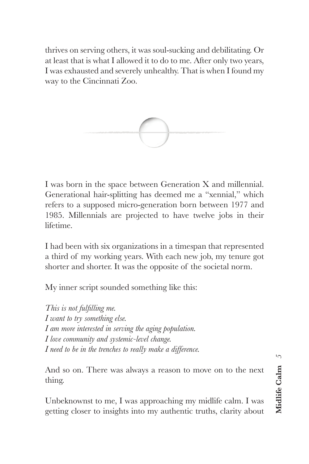thrives on serving others, it was soul-sucking and debilitating. Or at least that is what I allowed it to do to me. After only two years, I was exhausted and severely unhealthy. That is when I found my way to the Cincinnati Zoo.



I was born in the space between Generation X and millennial. Generational hair-splitting has deemed me a "xennial," which refers to a supposed micro-generation born between 1977 and 1985. Millennials are projected to have twelve jobs in their lifetime.

I had been with six organizations in a timespan that represented a third of my working years. With each new job, my tenure got shorter and shorter. It was the opposite of the societal norm.

My inner script sounded something like this:

*This is not fulfilling me. I want to try something else. I am more interested in serving the aging population. I love community and systemic-level change. I need to be in the trenches to really make a difference.* 

And so on. There was always a reason to move on to the next thing.

Unbeknownst to me, I was approaching my midlife calm. I was getting closer to insights into my authentic truths, clarity about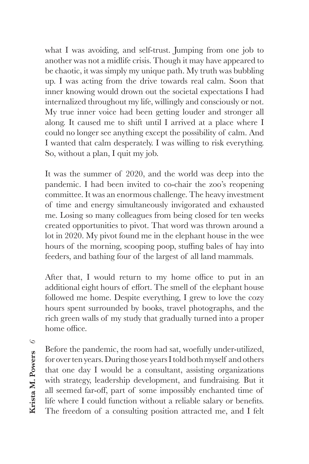what I was avoiding, and self-trust. Jumping from one job to another was not a midlife crisis. Though it may have appeared to be chaotic, it was simply my unique path. My truth was bubbling up. I was acting from the drive towards real calm. Soon that inner knowing would drown out the societal expectations I had internalized throughout my life, willingly and consciously or not. My true inner voice had been getting louder and stronger all along. It caused me to shift until I arrived at a place where I could no longer see anything except the possibility of calm. And I wanted that calm desperately. I was willing to risk everything. So, without a plan, I quit my job.

It was the summer of 2020, and the world was deep into the pandemic. I had been invited to co-chair the zoo's reopening committee. It was an enormous challenge. The heavy investment of time and energy simultaneously invigorated and exhausted me. Losing so many colleagues from being closed for ten weeks created opportunities to pivot. That word was thrown around a lot in 2020. My pivot found me in the elephant house in the wee hours of the morning, scooping poop, stuffing bales of hay into feeders, and bathing four of the largest of all land mammals.

After that, I would return to my home office to put in an additional eight hours of effort. The smell of the elephant house followed me home. Despite everything, I grew to love the cozy hours spent surrounded by books, travel photographs, and the rich green walls of my study that gradually turned into a proper home office.

*6*Krista M. Powers **Krista M. Powers**

Before the pandemic, the room had sat, woefully under-utilized, for over ten years. During those years I told both myself and others that one day I would be a consultant, assisting organizations with strategy, leadership development, and fundraising. But it all seemed far-off, part of some impossibly enchanted time of life where I could function without a reliable salary or benefits. The freedom of a consulting position attracted me, and I felt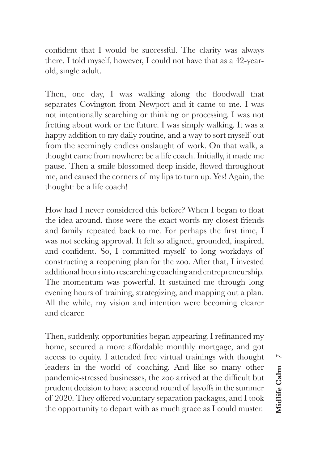confident that I would be successful. The clarity was always there. I told myself, however, I could not have that as a 42-yearold, single adult.

Then, one day, I was walking along the floodwall that separates Covington from Newport and it came to me. I was not intentionally searching or thinking or processing. I was not fretting about work or the future. I was simply walking. It was a happy addition to my daily routine, and a way to sort myself out from the seemingly endless onslaught of work. On that walk, a thought came from nowhere: be a life coach. Initially, it made me pause. Then a smile blossomed deep inside, flowed throughout me, and caused the corners of my lips to turn up. Yes! Again, the thought: be a life coach!

How had I never considered this before? When I began to float the idea around, those were the exact words my closest friends and family repeated back to me. For perhaps the first time, I was not seeking approval. It felt so aligned, grounded, inspired, and confident. So, I committed myself to long workdays of constructing a reopening plan for the zoo. After that, I invested additional hours into researching coaching and entrepreneurship. The momentum was powerful. It sustained me through long evening hours of training, strategizing, and mapping out a plan. All the while, my vision and intention were becoming clearer and clearer.

Then, suddenly, opportunities began appearing. I refinanced my home, secured a more affordable monthly mortgage, and got access to equity. I attended free virtual trainings with thought leaders in the world of coaching. And like so many other pandemic-stressed businesses, the zoo arrived at the difficult but prudent decision to have a second round of layoffs in the summer of 2020. They offered voluntary separation packages, and I took the opportunity to depart with as much grace as I could muster.